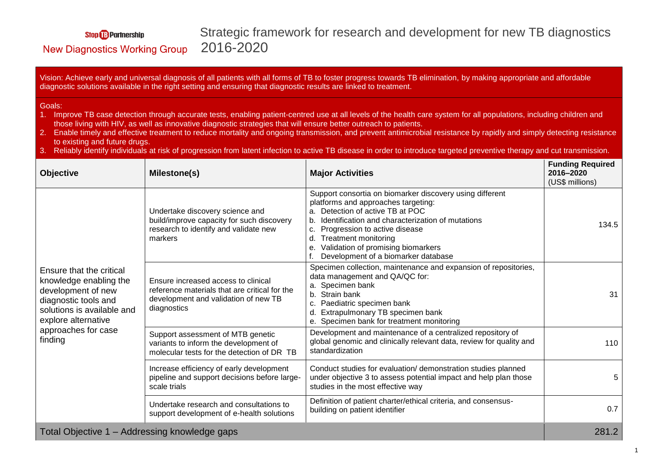## **Stop B** Partnership

## Strategic framework for research and development for new TB diagnostics 2016-2020

## **New Diagnostics Working Group**

Vision: Achieve early and universal diagnosis of all patients with all forms of TB to foster progress towards TB elimination, by making appropriate and affordable diagnostic solutions available in the right setting and ensuring that diagnostic results are linked to treatment.

## Goals:

- 1. Improve TB case detection through accurate tests, enabling patient-centred use at all levels of the health care system for all populations, including children and those living with HIV, as well as innovative diagnostic strategies that will ensure better outreach to patients.
- 2. Enable timely and effective treatment to reduce mortality and ongoing transmission, and prevent antimicrobial resistance by rapidly and simply detecting resistance to existing and future drugs.
- 3. Reliably identify individuals at risk of progression from latent infection to active TB disease in order to introduce targeted preventive therapy and cut transmission.

| <b>Objective</b>                                                                                                                                                                        | Milestone(s)                                                                                                                                | <b>Major Activities</b>                                                                                                                                                                                                                                                                                                                          | <b>Funding Required</b><br>2016-2020<br>(US\$ millions) |
|-----------------------------------------------------------------------------------------------------------------------------------------------------------------------------------------|---------------------------------------------------------------------------------------------------------------------------------------------|--------------------------------------------------------------------------------------------------------------------------------------------------------------------------------------------------------------------------------------------------------------------------------------------------------------------------------------------------|---------------------------------------------------------|
| Ensure that the critical<br>knowledge enabling the<br>development of new<br>diagnostic tools and<br>solutions is available and<br>explore alternative<br>approaches for case<br>finding | Undertake discovery science and<br>build/improve capacity for such discovery<br>research to identify and validate new<br>markers            | Support consortia on biomarker discovery using different<br>platforms and approaches targeting:<br>a. Detection of active TB at POC<br>Identification and characterization of mutations<br>Progression to active disease<br><b>Treatment monitoring</b><br>d.<br>Validation of promising biomarkers<br>e.<br>Development of a biomarker database | 134.5                                                   |
|                                                                                                                                                                                         | Ensure increased access to clinical<br>reference materials that are critical for the<br>development and validation of new TB<br>diagnostics | Specimen collection, maintenance and expansion of repositories,<br>data management and QA/QC for:<br>Specimen bank<br>Strain bank<br>b.<br>Paediatric specimen bank<br>Extrapulmonary TB specimen bank<br>e. Specimen bank for treatment monitoring                                                                                              | 31                                                      |
|                                                                                                                                                                                         | Support assessment of MTB genetic<br>variants to inform the development of<br>molecular tests for the detection of DR TB                    | Development and maintenance of a centralized repository of<br>global genomic and clinically relevant data, review for quality and<br>standardization                                                                                                                                                                                             | 110                                                     |
|                                                                                                                                                                                         | Increase efficiency of early development<br>pipeline and support decisions before large-<br>scale trials                                    | Conduct studies for evaluation/ demonstration studies planned<br>under objective 3 to assess potential impact and help plan those<br>studies in the most effective way                                                                                                                                                                           | 5                                                       |
|                                                                                                                                                                                         | Undertake research and consultations to<br>support development of e-health solutions                                                        | Definition of patient charter/ethical criteria, and consensus-<br>building on patient identifier                                                                                                                                                                                                                                                 | 0.7                                                     |
| Total Objective 1 – Addressing knowledge gaps                                                                                                                                           |                                                                                                                                             |                                                                                                                                                                                                                                                                                                                                                  | 281.2                                                   |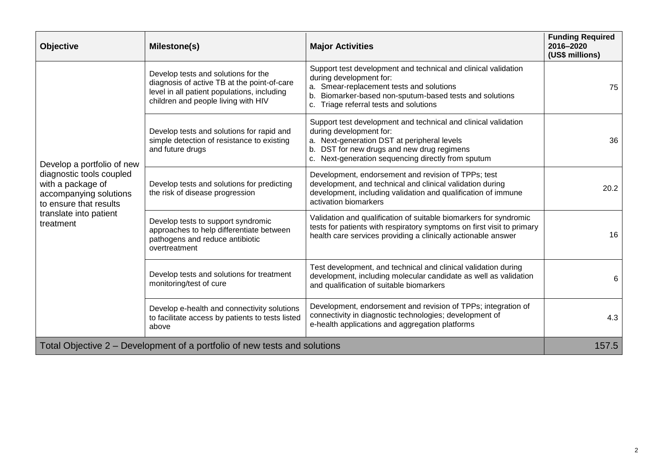| <b>Objective</b>                                                                                                                                                       | Milestone(s)                                                                                                                                                             | <b>Major Activities</b>                                                                                                                                                                                                                      | <b>Funding Required</b><br>2016-2020<br>(US\$ millions) |
|------------------------------------------------------------------------------------------------------------------------------------------------------------------------|--------------------------------------------------------------------------------------------------------------------------------------------------------------------------|----------------------------------------------------------------------------------------------------------------------------------------------------------------------------------------------------------------------------------------------|---------------------------------------------------------|
| Develop a portfolio of new<br>diagnostic tools coupled<br>with a package of<br>accompanying solutions<br>to ensure that results<br>translate into patient<br>treatment | Develop tests and solutions for the<br>diagnosis of active TB at the point-of-care<br>level in all patient populations, including<br>children and people living with HIV | Support test development and technical and clinical validation<br>during development for:<br>a. Smear-replacement tests and solutions<br>Biomarker-based non-sputum-based tests and solutions<br>Triage referral tests and solutions<br>C.   | 75                                                      |
|                                                                                                                                                                        | Develop tests and solutions for rapid and<br>simple detection of resistance to existing<br>and future drugs                                                              | Support test development and technical and clinical validation<br>during development for:<br>a. Next-generation DST at peripheral levels<br>b. DST for new drugs and new drug regimens<br>c. Next-generation sequencing directly from sputum | 36                                                      |
|                                                                                                                                                                        | Develop tests and solutions for predicting<br>the risk of disease progression                                                                                            | Development, endorsement and revision of TPPs; test<br>development, and technical and clinical validation during<br>development, including validation and qualification of immune<br>activation biomarkers                                   | 20.2                                                    |
|                                                                                                                                                                        | Develop tests to support syndromic<br>approaches to help differentiate between<br>pathogens and reduce antibiotic<br>overtreatment                                       | Validation and qualification of suitable biomarkers for syndromic<br>tests for patients with respiratory symptoms on first visit to primary<br>health care services providing a clinically actionable answer                                 | 16                                                      |
|                                                                                                                                                                        | Develop tests and solutions for treatment<br>monitoring/test of cure                                                                                                     | Test development, and technical and clinical validation during<br>development, including molecular candidate as well as validation<br>and qualification of suitable biomarkers                                                               | 6                                                       |
|                                                                                                                                                                        | Develop e-health and connectivity solutions<br>to facilitate access by patients to tests listed<br>above                                                                 | Development, endorsement and revision of TPPs; integration of<br>connectivity in diagnostic technologies; development of<br>e-health applications and aggregation platforms                                                                  | 4.3                                                     |
| Total Objective 2 – Development of a portfolio of new tests and solutions                                                                                              |                                                                                                                                                                          |                                                                                                                                                                                                                                              | 157.5                                                   |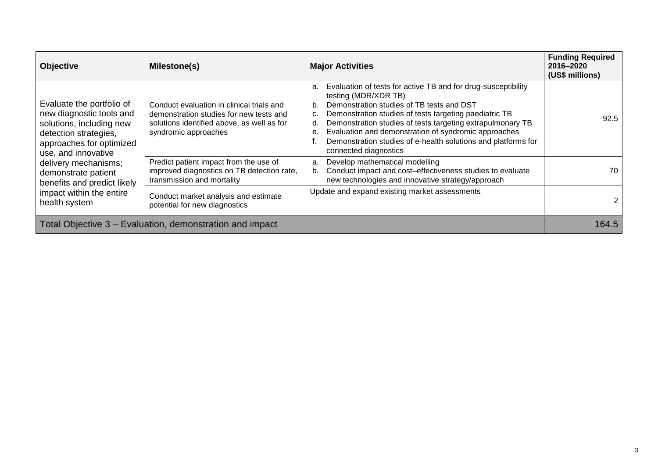| <b>Objective</b>                                                                                                                                                                                                                                                                         | Milestone(s)                                                                                                                                               | <b>Major Activities</b>                                                                                                                                                                                                                                                                                                                                                                                                              | <b>Funding Required</b><br>2016-2020<br>(US\$ millions) |
|------------------------------------------------------------------------------------------------------------------------------------------------------------------------------------------------------------------------------------------------------------------------------------------|------------------------------------------------------------------------------------------------------------------------------------------------------------|--------------------------------------------------------------------------------------------------------------------------------------------------------------------------------------------------------------------------------------------------------------------------------------------------------------------------------------------------------------------------------------------------------------------------------------|---------------------------------------------------------|
| Evaluate the portfolio of<br>new diagnostic tools and<br>solutions, including new<br>detection strategies,<br>approaches for optimized<br>use, and innovative<br>delivery mechanisms;<br>demonstrate patient<br>benefits and predict likely<br>impact within the entire<br>health system | Conduct evaluation in clinical trials and<br>demonstration studies for new tests and<br>solutions identified above, as well as for<br>syndromic approaches | Evaluation of tests for active TB and for drug-susceptibility<br>a.<br>testing (MDR/XDR TB)<br>Demonstration studies of TB tests and DST<br>b.<br>Demonstration studies of tests targeting paediatric TB<br>Demonstration studies of tests targeting extrapulmonary TB<br>d.<br>Evaluation and demonstration of syndromic approaches<br>е.<br>Demonstration studies of e-health solutions and platforms for<br>connected diagnostics | 92.5                                                    |
|                                                                                                                                                                                                                                                                                          | Predict patient impact from the use of<br>improved diagnostics on TB detection rate,<br>transmission and mortality                                         | Develop mathematical modelling<br>a.<br>Conduct impact and cost-effectiveness studies to evaluate<br>b.<br>new technologies and innovative strategy/approach                                                                                                                                                                                                                                                                         | 70                                                      |
|                                                                                                                                                                                                                                                                                          | Conduct market analysis and estimate<br>potential for new diagnostics                                                                                      | Update and expand existing market assessments                                                                                                                                                                                                                                                                                                                                                                                        |                                                         |
| Total Objective 3 – Evaluation, demonstration and impact                                                                                                                                                                                                                                 |                                                                                                                                                            |                                                                                                                                                                                                                                                                                                                                                                                                                                      | 164.5                                                   |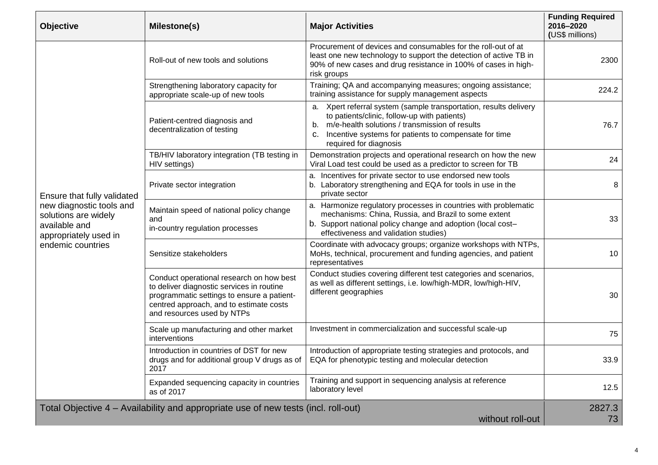| <b>Objective</b>                                                                                                                               | Milestone(s)                                                                                                                                                                                                 | <b>Major Activities</b>                                                                                                                                                                                                                                         | <b>Funding Required</b><br>2016-2020<br>(US\$ millions) |
|------------------------------------------------------------------------------------------------------------------------------------------------|--------------------------------------------------------------------------------------------------------------------------------------------------------------------------------------------------------------|-----------------------------------------------------------------------------------------------------------------------------------------------------------------------------------------------------------------------------------------------------------------|---------------------------------------------------------|
| Ensure that fully validated<br>new diagnostic tools and<br>solutions are widely<br>available and<br>appropriately used in<br>endemic countries | Roll-out of new tools and solutions                                                                                                                                                                          | Procurement of devices and consumables for the roll-out of at<br>least one new technology to support the detection of active TB in<br>90% of new cases and drug resistance in 100% of cases in high-<br>risk groups                                             | 2300                                                    |
|                                                                                                                                                | Strengthening laboratory capacity for<br>appropriate scale-up of new tools                                                                                                                                   | Training; QA and accompanying measures; ongoing assistance;<br>training assistance for supply management aspects                                                                                                                                                | 224.2                                                   |
|                                                                                                                                                | Patient-centred diagnosis and<br>decentralization of testing                                                                                                                                                 | a. Xpert referral system (sample transportation, results delivery<br>to patients/clinic, follow-up with patients)<br>b. m/e-health solutions / transmission of results<br>Incentive systems for patients to compensate for time<br>C.<br>required for diagnosis | 76.7                                                    |
|                                                                                                                                                | TB/HIV laboratory integration (TB testing in<br>HIV settings)                                                                                                                                                | Demonstration projects and operational research on how the new<br>Viral Load test could be used as a predictor to screen for TB                                                                                                                                 | 24                                                      |
|                                                                                                                                                | Private sector integration                                                                                                                                                                                   | a. Incentives for private sector to use endorsed new tools<br>b. Laboratory strengthening and EQA for tools in use in the<br>private sector                                                                                                                     | 8                                                       |
|                                                                                                                                                | Maintain speed of national policy change<br>and<br>in-country regulation processes                                                                                                                           | a. Harmonize regulatory processes in countries with problematic<br>mechanisms: China, Russia, and Brazil to some extent<br>b. Support national policy change and adoption (local cost-<br>effectiveness and validation studies)                                 | 33                                                      |
|                                                                                                                                                | Sensitize stakeholders                                                                                                                                                                                       | Coordinate with advocacy groups; organize workshops with NTPs,<br>MoHs, technical, procurement and funding agencies, and patient<br>representatives                                                                                                             | 10                                                      |
|                                                                                                                                                | Conduct operational research on how best<br>to deliver diagnostic services in routine<br>programmatic settings to ensure a patient-<br>centred approach, and to estimate costs<br>and resources used by NTPs | Conduct studies covering different test categories and scenarios,<br>as well as different settings, i.e. low/high-MDR, low/high-HIV,<br>different geographies                                                                                                   | 30                                                      |
|                                                                                                                                                | Scale up manufacturing and other market<br>interventions                                                                                                                                                     | Investment in commercialization and successful scale-up                                                                                                                                                                                                         | 75                                                      |
|                                                                                                                                                | Introduction in countries of DST for new<br>drugs and for additional group V drugs as of<br>2017                                                                                                             | Introduction of appropriate testing strategies and protocols, and<br>EQA for phenotypic testing and molecular detection                                                                                                                                         | 33.9                                                    |
|                                                                                                                                                | Expanded sequencing capacity in countries<br>as of 2017                                                                                                                                                      | Training and support in sequencing analysis at reference<br>laboratory level                                                                                                                                                                                    | 12.5                                                    |
| Total Objective 4 – Availability and appropriate use of new tests (incl. roll-out)<br>without roll-out                                         |                                                                                                                                                                                                              |                                                                                                                                                                                                                                                                 | 2827.3<br>73                                            |